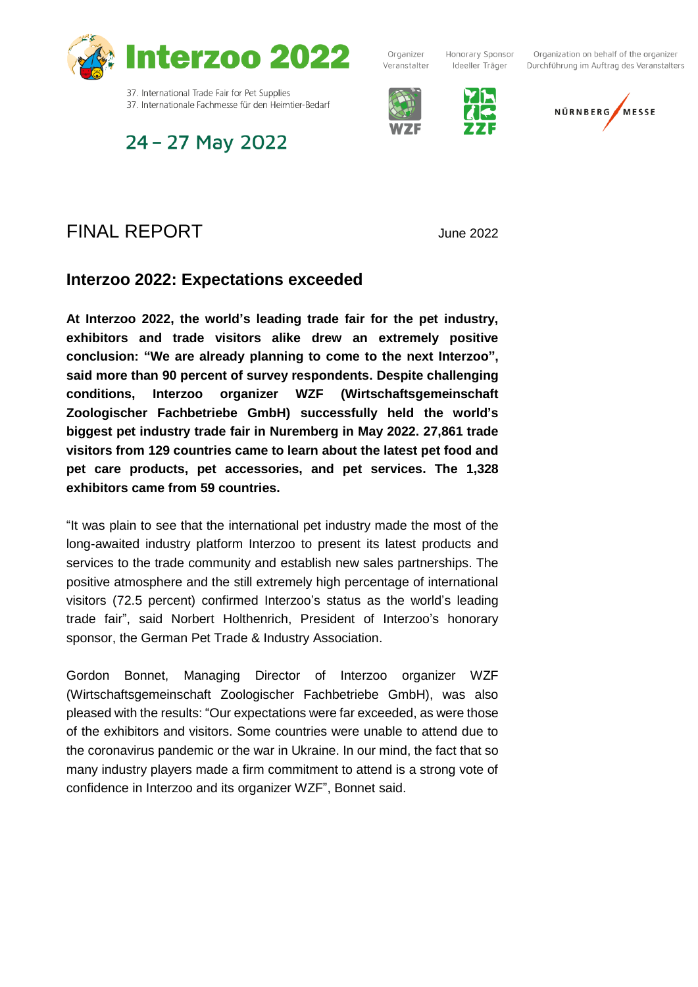

37. International Trade Fair for Pet Supplies 37. Internationale Fachmesse für den Heimtier-Bedarf

# 24 - 27 May 2022

Organizer Veranstalter

Honorary Sponsor Ideeller Träger



Organization on behalf of the organizer Durchführung im Auftrag des Veranstalters



FINAL REPORT June <sup>2022</sup>

### **Interzoo 2022: Expectations exceeded**

**At Interzoo 2022, the world's leading trade fair for the pet industry, exhibitors and trade visitors alike drew an extremely positive conclusion: "We are already planning to come to the next Interzoo", said more than 90 percent of survey respondents. Despite challenging conditions, Interzoo organizer WZF (Wirtschaftsgemeinschaft Zoologischer Fachbetriebe GmbH) successfully held the world's biggest pet industry trade fair in Nuremberg in May 2022. 27,861 trade visitors from 129 countries came to learn about the latest pet food and pet care products, pet accessories, and pet services. The 1,328 exhibitors came from 59 countries.**

"It was plain to see that the international pet industry made the most of the long-awaited industry platform Interzoo to present its latest products and services to the trade community and establish new sales partnerships. The positive atmosphere and the still extremely high percentage of international visitors (72.5 percent) confirmed Interzoo's status as the world's leading trade fair", said Norbert Holthenrich, President of Interzoo's honorary sponsor, the German Pet Trade & Industry Association.

Gordon Bonnet, Managing Director of Interzoo organizer WZF (Wirtschaftsgemeinschaft Zoologischer Fachbetriebe GmbH), was also pleased with the results: "Our expectations were far exceeded, as were those of the exhibitors and visitors. Some countries were unable to attend due to the coronavirus pandemic or the war in Ukraine. In our mind, the fact that so many industry players made a firm commitment to attend is a strong vote of confidence in Interzoo and its organizer WZF", Bonnet said.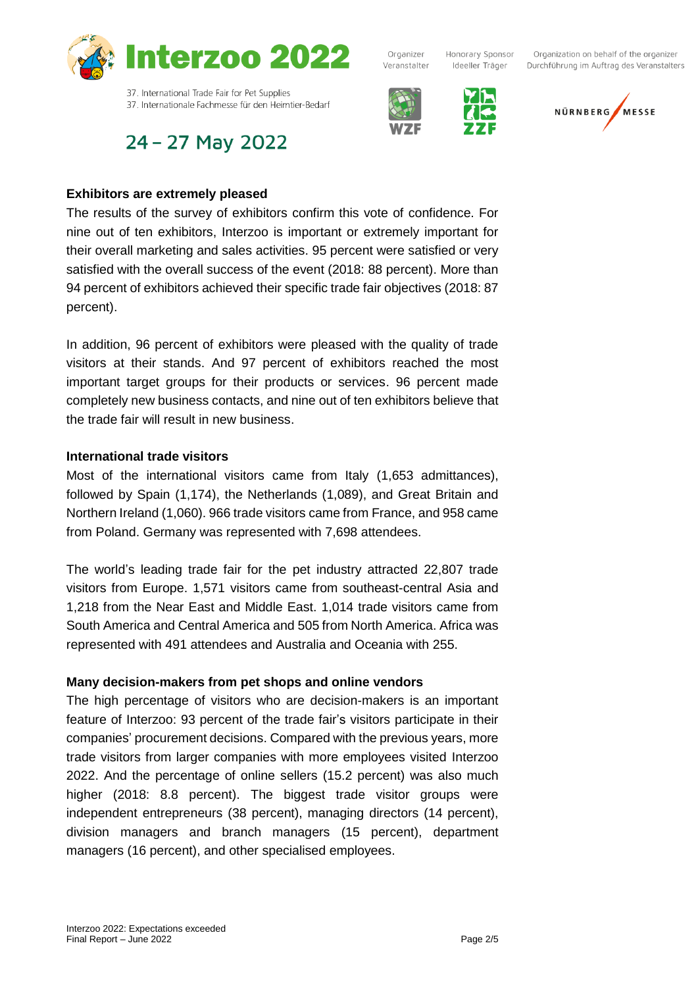

## 24 - 27 May 2022



Organizer



Honorary Sponsor

Ideeller Träger

Organization on behalf of the organizer Durchführung im Auftrag des Veranstalters



#### **Exhibitors are extremely pleased**

The results of the survey of exhibitors confirm this vote of confidence. For nine out of ten exhibitors, Interzoo is important or extremely important for their overall marketing and sales activities. 95 percent were satisfied or very satisfied with the overall success of the event (2018: 88 percent). More than 94 percent of exhibitors achieved their specific trade fair objectives (2018: 87 percent).

In addition, 96 percent of exhibitors were pleased with the quality of trade visitors at their stands. And 97 percent of exhibitors reached the most important target groups for their products or services. 96 percent made completely new business contacts, and nine out of ten exhibitors believe that the trade fair will result in new business.

#### **International trade visitors**

Most of the international visitors came from Italy (1,653 admittances), followed by Spain (1,174), the Netherlands (1,089), and Great Britain and Northern Ireland (1,060). 966 trade visitors came from France, and 958 came from Poland. Germany was represented with 7,698 attendees.

The world's leading trade fair for the pet industry attracted 22,807 trade visitors from Europe. 1,571 visitors came from southeast-central Asia and 1,218 from the Near East and Middle East. 1,014 trade visitors came from South America and Central America and 505 from North America. Africa was represented with 491 attendees and Australia and Oceania with 255.

#### **Many decision-makers from pet shops and online vendors**

The high percentage of visitors who are decision-makers is an important feature of Interzoo: 93 percent of the trade fair's visitors participate in their companies' procurement decisions. Compared with the previous years, more trade visitors from larger companies with more employees visited Interzoo 2022. And the percentage of online sellers (15.2 percent) was also much higher (2018: 8.8 percent). The biggest trade visitor groups were independent entrepreneurs (38 percent), managing directors (14 percent), division managers and branch managers (15 percent), department managers (16 percent), and other specialised employees.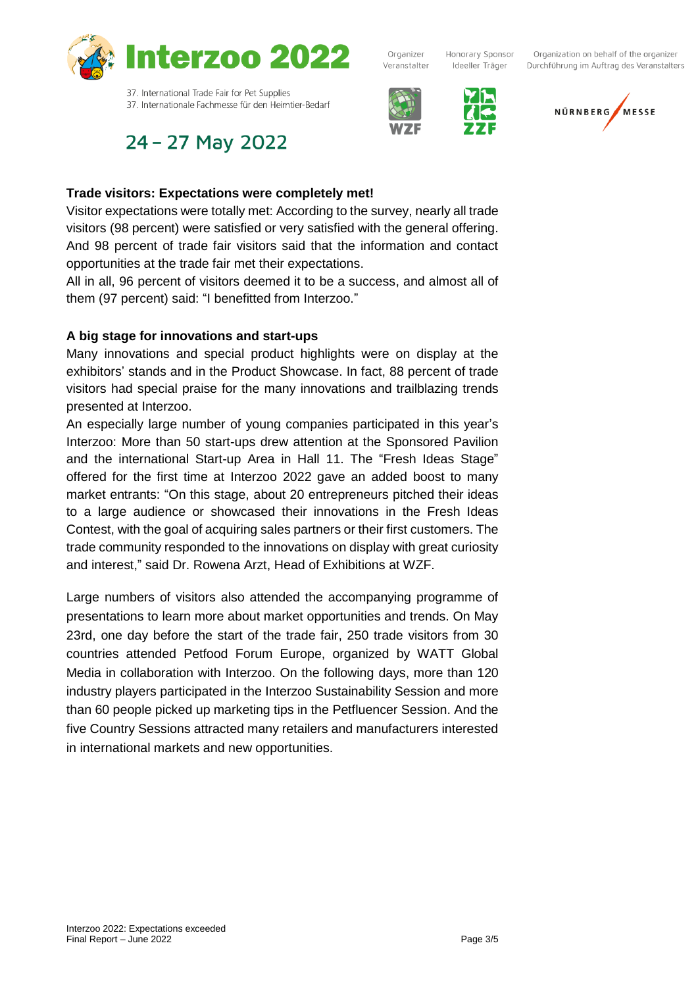

Organizer Veranstalter

Honorary Sponsor Ideeller Träger



Organization on behalf of the organizer Durchführung im Auftrag des Veranstalters



37. Internationale Fachmesse für den Heimtier-Bedarf

## 24 - 27 May 2022

### **Trade visitors: Expectations were completely met!**

Visitor expectations were totally met: According to the survey, nearly all trade visitors (98 percent) were satisfied or very satisfied with the general offering. And 98 percent of trade fair visitors said that the information and contact opportunities at the trade fair met their expectations.

All in all, 96 percent of visitors deemed it to be a success, and almost all of them (97 percent) said: "I benefitted from Interzoo."

### **A big stage for innovations and start-ups**

Many innovations and special product highlights were on display at the exhibitors' stands and in the Product Showcase. In fact, 88 percent of trade visitors had special praise for the many innovations and trailblazing trends presented at Interzoo.

An especially large number of young companies participated in this year's Interzoo: More than 50 start-ups drew attention at the Sponsored Pavilion and the international Start-up Area in Hall 11. The "Fresh Ideas Stage" offered for the first time at Interzoo 2022 gave an added boost to many market entrants: "On this stage, about 20 entrepreneurs pitched their ideas to a large audience or showcased their innovations in the Fresh Ideas Contest, with the goal of acquiring sales partners or their first customers. The trade community responded to the innovations on display with great curiosity and interest," said Dr. Rowena Arzt, Head of Exhibitions at WZF.

Large numbers of visitors also attended the accompanying programme of presentations to learn more about market opportunities and trends. On May 23rd, one day before the start of the trade fair, 250 trade visitors from 30 countries attended Petfood Forum Europe, organized by WATT Global Media in collaboration with Interzoo. On the following days, more than 120 industry players participated in the Interzoo Sustainability Session and more than 60 people picked up marketing tips in the Petfluencer Session. And the five Country Sessions attracted many retailers and manufacturers interested in international markets and new opportunities.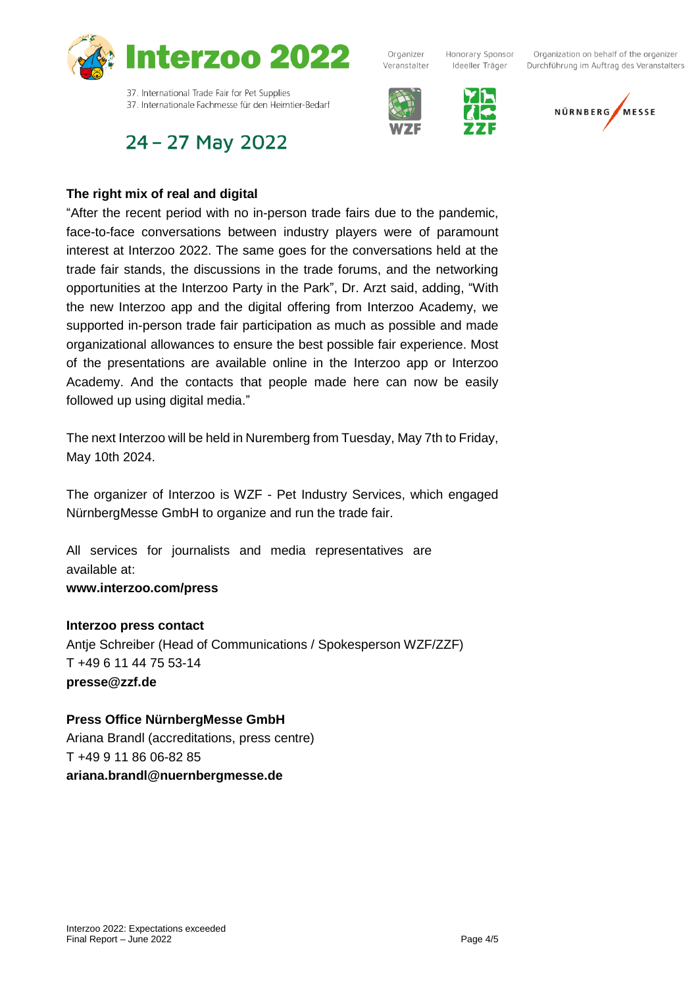

## 24 - 27 May 2022



Organizer



Honorary Sponsor

Ideeller Träger

Organization on behalf of the organizer Durchführung im Auftrag des Veranstalters



### **The right mix of real and digital**

"After the recent period with no in-person trade fairs due to the pandemic, face-to-face conversations between industry players were of paramount interest at Interzoo 2022. The same goes for the conversations held at the trade fair stands, the discussions in the trade forums, and the networking opportunities at the Interzoo Party in the Park", Dr. Arzt said, adding, "With the new Interzoo app and the digital offering from Interzoo Academy, we supported in-person trade fair participation as much as possible and made organizational allowances to ensure the best possible fair experience. Most of the presentations are available online in the Interzoo app or Interzoo Academy. And the contacts that people made here can now be easily followed up using digital media."

The next Interzoo will be held in Nuremberg from Tuesday, May 7th to Friday, May 10th 2024.

The organizer of Interzoo is WZF - Pet Industry Services, which engaged NürnbergMesse GmbH to organize and run the trade fair.

All services for journalists and media representatives are available at: **www.interzoo.com/press**

#### **Interzoo press contact**

Antje Schreiber (Head of Communications / Spokesperson WZF/ZZF) T +49 6 11 44 75 53-14 **presse@zzf.de**

#### **Press Office NürnbergMesse GmbH**

Ariana Brandl (accreditations, press centre) T +49 9 11 86 06-82 85 **ariana.brandl@nuernbergmesse.de**